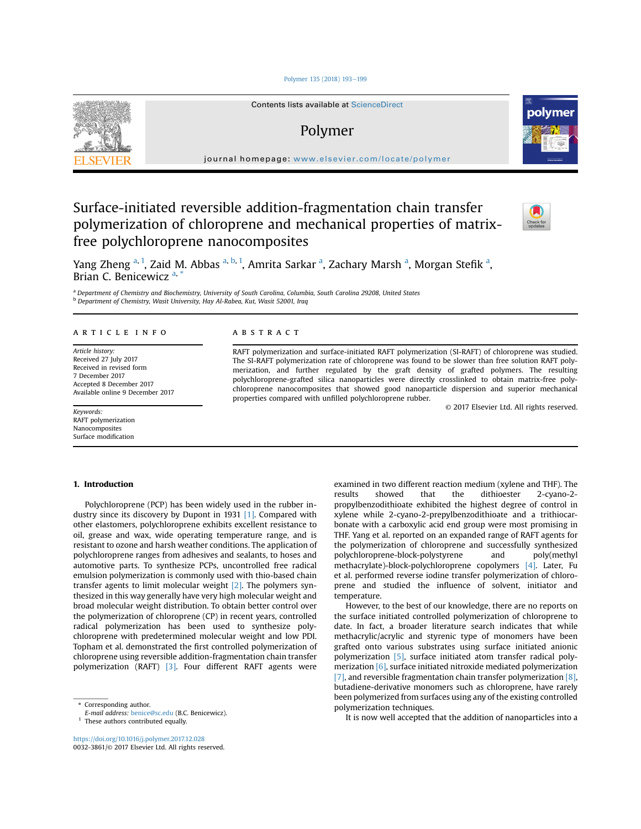## [Polymer 135 \(2018\) 193](https://doi.org/10.1016/j.polymer.2017.12.028)-[199](https://doi.org/10.1016/j.polymer.2017.12.028)



Contents lists available at [ScienceDirect](www.sciencedirect.com/science/journal/00323861)

# Polymer



journal homepage: [www.elsevier.com/locate/polymer](http://www.elsevier.com/locate/polymer)

Surface-initiated reversible addition-fragmentation chain transfer polymerization of chloroprene and mechanical properties of matrixfree polychloroprene nanocomposites



Yang Zheng <sup>a, 1</sup>, Zaid M. Abbas <sup>a, b, 1</sup>, Amrita Sarkar <sup>a</sup>, Zachary Marsh <sup>a</sup>, Morgan Stefik <sup>a</sup>, Brian C. Benicewicz<sup>a,</sup>

a Department of Chemistry and Biochemistry, University of South Carolina, Columbia, South Carolina 29208, United States <sup>b</sup> Department of Chemistry, Wasit University, Hay Al-Rabea, Kut, Wasit 52001, Iraq

# article info

Article history: Received 27 July 2017 Received in revised form 7 December 2017 Accepted 8 December 2017 Available online 9 December 2017

Keywords: RAFT polymerization Nanocomposites Surface modification

## 1. Introduction

Polychloroprene (PCP) has been widely used in the rubber industry since its discovery by Dupont in 1931 [1]. Compared with other elastomers, polychloroprene exhibits excellent resistance to oil, grease and wax, wide operating temperature range, and is resistant to ozone and harsh weather conditions. The application of polychloroprene ranges from adhesives and sealants, to hoses and automotive parts. To synthesize PCPs, uncontrolled free radical emulsion polymerization is commonly used with thio-based chain transfer agents to limit molecular weight [2]. The polymers synthesized in this way generally have very high molecular weight and broad molecular weight distribution. To obtain better control over the polymerization of chloroprene (CP) in recent years, controlled radical polymerization has been used to synthesize polychloroprene with predetermined molecular weight and low PDI. Topham et al. demonstrated the first controlled polymerization of chloroprene using reversible addition-fragmentation chain transfer polymerization (RAFT) [3]. Four different RAFT agents were

<https://doi.org/10.1016/j.polymer.2017.12.028> 0032-3861/© 2017 Elsevier Ltd. All rights reserved.

## **ABSTRACT**

RAFT polymerization and surface-initiated RAFT polymerization (SI-RAFT) of chloroprene was studied. The SI-RAFT polymerization rate of chloroprene was found to be slower than free solution RAFT polymerization, and further regulated by the graft density of grafted polymers. The resulting polychloroprene-grafted silica nanoparticles were directly crosslinked to obtain matrix-free polychloroprene nanocomposites that showed good nanoparticle dispersion and superior mechanical properties compared with unfilled polychloroprene rubber.

© 2017 Elsevier Ltd. All rights reserved.

examined in two different reaction medium (xylene and THF). The results showed that the dithioester 2-cyano-2 propylbenzodithioate exhibited the highest degree of control in xylene while 2-cyano-2-prepylbenzodithioate and a trithiocarbonate with a carboxylic acid end group were most promising in THF. Yang et al. reported on an expanded range of RAFT agents for the polymerization of chloroprene and successfully synthesized polychloroprene-block-polystyrene and poly(methyl methacrylate)-block-polychloroprene copolymers [4]. Later, Fu et al. performed reverse iodine transfer polymerization of chloroprene and studied the influence of solvent, initiator and temperature.

However, to the best of our knowledge, there are no reports on the surface initiated controlled polymerization of chloroprene to date. In fact, a broader literature search indicates that while methacrylic/acrylic and styrenic type of monomers have been grafted onto various substrates using surface initiated anionic polymerization [5], surface initiated atom transfer radical polymerization [6], surface initiated nitroxide mediated polymerization [7], and reversible fragmentation chain transfer polymerization [8], butadiene-derivative monomers such as chloroprene, have rarely been polymerized from surfaces using any of the existing controlled polymerization techniques.

It is now well accepted that the addition of nanoparticles into a

<sup>\*</sup> Corresponding author.

E-mail address: [benice@sc.edu](mailto:benice@sc.edu) (B.C. Benicewicz).

 $1$  These authors contributed equally.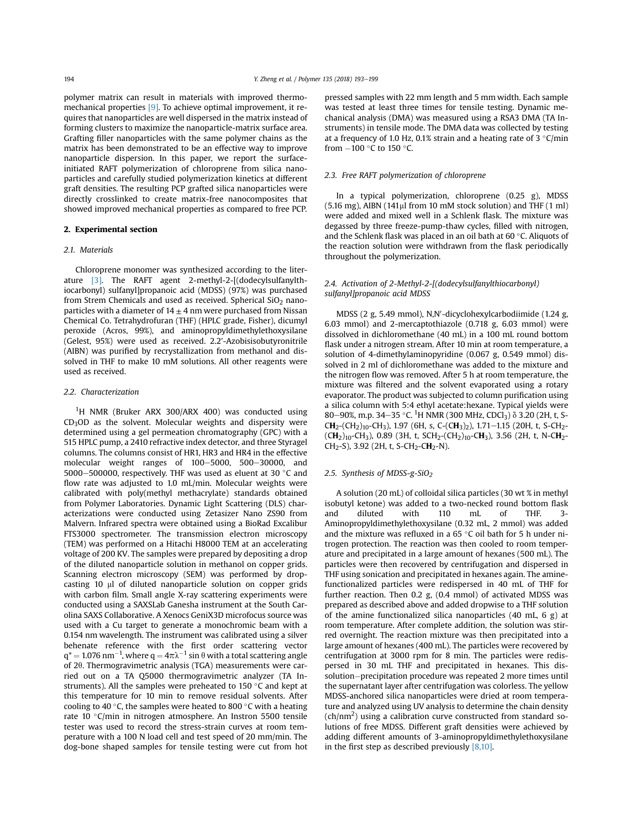polymer matrix can result in materials with improved thermomechanical properties [9]. To achieve optimal improvement, it requires that nanoparticles are well dispersed in the matrix instead of forming clusters to maximize the nanoparticle-matrix surface area. Grafting filler nanoparticles with the same polymer chains as the matrix has been demonstrated to be an effective way to improve nanoparticle dispersion. In this paper, we report the surfaceinitiated RAFT polymerization of chloroprene from silica nanoparticles and carefully studied polymerization kinetics at different graft densities. The resulting PCP grafted silica nanoparticles were directly crosslinked to create matrix-free nanocomposites that showed improved mechanical properties as compared to free PCP.

# 2. Experimental section

## 2.1. Materials

Chloroprene monomer was synthesized according to the literature [3]. The RAFT agent 2-methyl-2-[(dodecylsulfanylthiocarbonyl) sulfanyl]propanoic acid (MDSS) (97%) was purchased from Strem Chemicals and used as received. Spherical  $SiO<sub>2</sub>$  nanoparticles with a diameter of  $14 \pm 4$  nm were purchased from Nissan Chemical Co. Tetrahydrofuran (THF) (HPLC grade, Fisher), dicumyl peroxide (Acros, 99%), and aminopropyldimethylethoxysilane (Gelest, 95%) were used as received. 2.2'-Azobisisobutyronitrile (AIBN) was purified by recrystallization from methanol and dissolved in THF to make 10 mM solutions. All other reagents were used as received.

## 2.2. Characterization

<sup>1</sup>H NMR (Bruker ARX 300/ARX 400) was conducted using CD3OD as the solvent. Molecular weights and dispersity were determined using a gel permeation chromatography (GPC) with a 515 HPLC pump, a 2410 refractive index detector, and three Styragel columns. The columns consist of HR1, HR3 and HR4 in the effective molecular weight ranges of 100-5000, 500-30000, and 5000-500000, respectively. THF was used as eluent at 30  $\degree$ C and flow rate was adjusted to 1.0 mL/min. Molecular weights were calibrated with poly(methyl methacrylate) standards obtained from Polymer Laboratories. Dynamic Light Scattering (DLS) characterizations were conducted using Zetasizer Nano ZS90 from Malvern. Infrared spectra were obtained using a BioRad Excalibur FTS3000 spectrometer. The transmission electron microscopy (TEM) was performed on a Hitachi H8000 TEM at an accelerating voltage of 200 KV. The samples were prepared by depositing a drop of the diluted nanoparticle solution in methanol on copper grids. Scanning electron microscopy (SEM) was performed by dropcasting 10 µl of diluted nanoparticle solution on copper grids with carbon film. Small angle X-ray scattering experiments were conducted using a SAXSLab Ganesha instrument at the South Carolina SAXS Collaborative. A Xenocs GeniX3D microfocus source was used with a Cu target to generate a monochromic beam with a 0.154 nm wavelength. The instrument was calibrated using a silver behenate reference with the first order scattering vector  $\mathsf{q}^* = 1.076$  nm $^{-1}$ , where  $\mathsf{q} = 4\pi \lambda^{-1}$  sin  $\theta$  with a total scattering angle of 20. Thermogravimetric analysis (TGA) measurements were carried out on a TA Q5000 thermogravimetric analyzer (TA Instruments). All the samples were preheated to 150  $\degree$ C and kept at this temperature for 10 min to remove residual solvents. After cooling to 40 $\degree$ C, the samples were heated to 800 $\degree$ C with a heating rate 10  $\degree$ C/min in nitrogen atmosphere. An Instron 5500 tensile tester was used to record the stress-strain curves at room temperature with a 100 N load cell and test speed of 20 mm/min. The dog-bone shaped samples for tensile testing were cut from hot pressed samples with 22 mm length and 5 mm width. Each sample was tested at least three times for tensile testing. Dynamic mechanical analysis (DMA) was measured using a RSA3 DMA (TA Instruments) in tensile mode. The DMA data was collected by testing at a frequency of 1.0 Hz, 0.1% strain and a heating rate of 3  $\degree$ C/min from  $-100$  °C to 150 °C.

## 2.3. Free RAFT polymerization of chloroprene

In a typical polymerization, chloroprene (0.25 g), MDSS  $(5.16 \text{ mg})$ , AIBN  $(141 \mu$ I from 10 mM stock solution) and THF  $(1 \text{ ml})$ were added and mixed well in a Schlenk flask. The mixture was degassed by three freeze-pump-thaw cycles, filled with nitrogen, and the Schlenk flask was placed in an oil bath at 60 $\degree$ C. Aliquots of the reaction solution were withdrawn from the flask periodically throughout the polymerization.

# 2.4. Activation of 2-Methyl-2-[(dodecylsulfanylthiocarbonyl) sulfanyl]propanoic acid MDSS

MDSS (2 g, 5.49 mmol), N,N'-dicyclohexylcarbodiimide (1.24 g, 6.03 mmol) and 2-mercaptothiazole (0.718 g, 6.03 mmol) were dissolved in dichloromethane (40 mL) in a 100 mL round bottom flask under a nitrogen stream. After 10 min at room temperature, a solution of 4-dimethylaminopyridine (0.067 g, 0.549 mmol) dissolved in 2 ml of dichloromethane was added to the mixture and the nitrogen flow was removed. After 5 h at room temperature, the mixture was filtered and the solvent evaporated using a rotary evaporator. The product was subjected to column purification using a silica column with 5:4 ethyl acetate:hexane. Typical yields were 80–90%, m.p. 34–35 °C. <sup>1</sup>H NMR (300 MHz, CDCl<sub>3</sub>) δ 3.20 (2H, t, S- $CH_2$ -(CH<sub>2</sub>)<sub>10</sub>-CH<sub>3</sub>), 1.97 (6H, s, C-(CH<sub>3</sub>)<sub>2</sub>), 1.71-1.15 (20H, t, S-CH<sub>2</sub>- $(CH<sub>2</sub>)<sub>10</sub>$ -CH<sub>3</sub>), 0.89 (3H, t, SCH<sub>2</sub>-(CH<sub>2</sub>)<sub>10</sub>-CH<sub>3</sub>), 3.56 (2H, t, N-CH<sub>2</sub>-CH<sub>2</sub>-S), 3.92 (2H, t, S-CH<sub>2</sub>-CH<sub>2</sub>-N).

# 2.5. Synthesis of MDSS-g-SiO<sub>2</sub>

A solution (20 mL) of colloidal silica particles (30 wt % in methyl isobutyl ketone) was added to a two-necked round bottom flask and diluted with 110 mL of THF. 3- Aminopropyldimethylethoxysilane (0.32 mL, 2 mmol) was added and the mixture was refluxed in a 65  $\degree$ C oil bath for 5 h under nitrogen protection. The reaction was then cooled to room temperature and precipitated in a large amount of hexanes (500 mL). The particles were then recovered by centrifugation and dispersed in THF using sonication and precipitated in hexanes again. The aminefunctionalized particles were redispersed in 40 mL of THF for further reaction. Then 0.2 g, (0.4 mmol) of activated MDSS was prepared as described above and added dropwise to a THF solution of the amine functionalized silica nanoparticles (40 mL, 6 g) at room temperature. After complete addition, the solution was stirred overnight. The reaction mixture was then precipitated into a large amount of hexanes (400 mL). The particles were recovered by centrifugation at 3000 rpm for 8 min. The particles were redispersed in 30 mL THF and precipitated in hexanes. This dissolution-precipitation procedure was repeated 2 more times until the supernatant layer after centrifugation was colorless. The yellow MDSS-anchored silica nanoparticles were dried at room temperature and analyzed using UV analysis to determine the chain density (ch/nm<sup>2</sup>) using a calibration curve constructed from standard solutions of free MDSS. Different graft densities were achieved by adding different amounts of 3-aminopropyldimethylethoxysilane in the first step as described previously [8,10].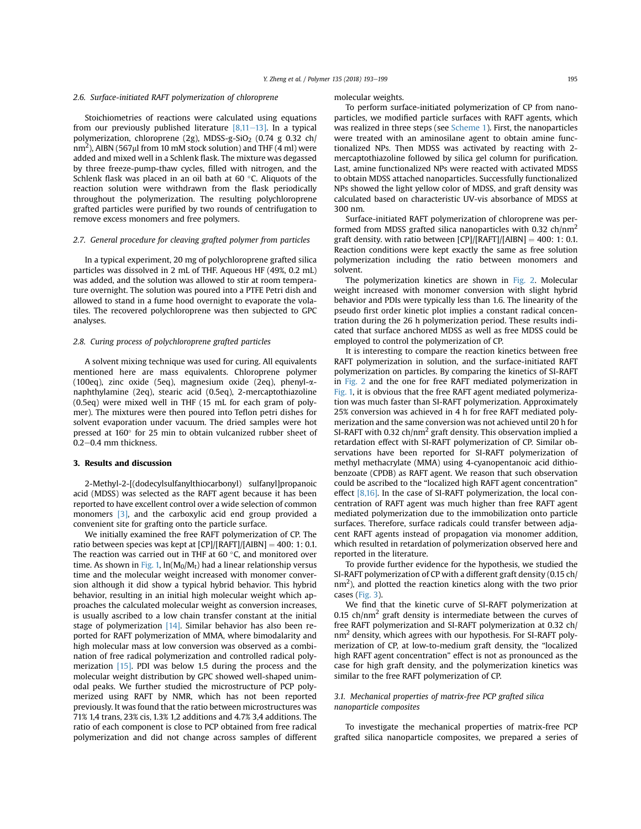# 2.6. Surface-initiated RAFT polymerization of chloroprene

Stoichiometries of reactions were calculated using equations from our previously published literature  $[8,11-13]$ . In a typical polymerization, chloroprene (2g), MDSS-g-SiO<sub>2</sub> (0.74 g 0.32 ch/ nm $^2$ ), AIBN (567 $\mu$ I from 10 mM stock solution) and THF (4 mI) were added and mixed well in a Schlenk flask. The mixture was degassed by three freeze-pump-thaw cycles, filled with nitrogen, and the Schlenk flask was placed in an oil bath at 60 $\degree$ C. Aliquots of the reaction solution were withdrawn from the flask periodically throughout the polymerization. The resulting polychloroprene grafted particles were purified by two rounds of centrifugation to remove excess monomers and free polymers.

# 2.7. General procedure for cleaving grafted polymer from particles

In a typical experiment, 20 mg of polychloroprene grafted silica particles was dissolved in 2 mL of THF. Aqueous HF (49%, 0.2 mL) was added, and the solution was allowed to stir at room temperature overnight. The solution was poured into a PTFE Petri dish and allowed to stand in a fume hood overnight to evaporate the volatiles. The recovered polychloroprene was then subjected to GPC analyses.

## 2.8. Curing process of polychloroprene grafted particles

A solvent mixing technique was used for curing. All equivalents mentioned here are mass equivalents. Chloroprene polymer (100eq), zinc oxide (5eq), magnesium oxide (2eq), phenyl-anaphthylamine (2eq), stearic acid (0.5eq), 2-mercaptothiazoline (0.5eq) were mixed well in THF (15 mL for each gram of polymer). The mixtures were then poured into Teflon petri dishes for solvent evaporation under vacuum. The dried samples were hot pressed at  $160^\circ$  for 25 min to obtain vulcanized rubber sheet of  $0.2 - 0.4$  mm thickness.

### 3. Results and discussion

2-Methyl-2-[(dodecylsulfanylthiocarbonyl) sulfanyl]propanoic acid (MDSS) was selected as the RAFT agent because it has been reported to have excellent control over a wide selection of common monomers [3], and the carboxylic acid end group provided a convenient site for grafting onto the particle surface.

We initially examined the free RAFT polymerization of CP. The ratio between species was kept at  $[CP]/[RAFT]/[AIBN] = 400$ : 1: 0.1. The reaction was carried out in THF at  $60^{\circ}$ C, and monitored over time. As shown in Fig. 1,  $ln(M_0/M_t)$  had a linear relationship versus time and the molecular weight increased with monomer conversion although it did show a typical hybrid behavior. This hybrid behavior, resulting in an initial high molecular weight which approaches the calculated molecular weight as conversion increases, is usually ascribed to a low chain transfer constant at the initial stage of polymerization [14]. Similar behavior has also been reported for RAFT polymerization of MMA, where bimodalarity and high molecular mass at low conversion was observed as a combination of free radical polymerization and controlled radical polymerization [15]. PDI was below 1.5 during the process and the molecular weight distribution by GPC showed well-shaped unimodal peaks. We further studied the microstructure of PCP polymerized using RAFT by NMR, which has not been reported previously. It was found that the ratio between microstructures was 71% 1,4 trans, 23% cis, 1.3% 1,2 additions and 4.7% 3,4 additions. The ratio of each component is close to PCP obtained from free radical polymerization and did not change across samples of different

#### molecular weights.

To perform surface-initiated polymerization of CP from nanoparticles, we modified particle surfaces with RAFT agents, which was realized in three steps (see Scheme 1). First, the nanoparticles were treated with an aminosilane agent to obtain amine functionalized NPs. Then MDSS was activated by reacting with 2 mercaptothiazoline followed by silica gel column for purification. Last, amine functionalized NPs were reacted with activated MDSS to obtain MDSS attached nanoparticles. Successfully functionalized NPs showed the light yellow color of MDSS, and graft density was calculated based on characteristic UV-vis absorbance of MDSS at 300 nm.

Surface-initiated RAFT polymerization of chloroprene was performed from MDSS grafted silica nanoparticles with 0.32  $\text{ch/nm}^2$ graft density. with ratio between  $[CP]/[RAFT]/[AIBN] = 400$ : 1: 0.1. Reaction conditions were kept exactly the same as free solution polymerization including the ratio between monomers and solvent.

The polymerization kinetics are shown in Fig. 2. Molecular weight increased with monomer conversion with slight hybrid behavior and PDIs were typically less than 1.6. The linearity of the pseudo first order kinetic plot implies a constant radical concentration during the 26 h polymerization period. These results indicated that surface anchored MDSS as well as free MDSS could be employed to control the polymerization of CP.

It is interesting to compare the reaction kinetics between free RAFT polymerization in solution, and the surface-initiated RAFT polymerization on particles. By comparing the kinetics of SI-RAFT in Fig. 2 and the one for free RAFT mediated polymerization in Fig. 1, it is obvious that the free RAFT agent mediated polymerization was much faster than SI-RAFT polymerization. Approximately 25% conversion was achieved in 4 h for free RAFT mediated polymerization and the same conversion was not achieved until 20 h for SI-RAFT with 0.32  $\text{ch/nm}^2$  graft density. This observation implied a retardation effect with SI-RAFT polymerization of CP. Similar observations have been reported for SI-RAFT polymerization of methyl methacrylate (MMA) using 4-cyanopentanoic acid dithiobenzoate (CPDB) as RAFT agent. We reason that such observation could be ascribed to the "localized high RAFT agent concentration" effect [8,16]. In the case of SI-RAFT polymerization, the local concentration of RAFT agent was much higher than free RAFT agent mediated polymerization due to the immobilization onto particle surfaces. Therefore, surface radicals could transfer between adjacent RAFT agents instead of propagation via monomer addition, which resulted in retardation of polymerization observed here and reported in the literature.

To provide further evidence for the hypothesis, we studied the SI-RAFT polymerization of CP with a different graft density (0.15 ch/  $nm<sup>2</sup>$ ), and plotted the reaction kinetics along with the two prior cases (Fig. 3).

We find that the kinetic curve of SI-RAFT polymerization at 0.15 ch/nm<sup>2</sup> graft density is intermediate between the curves of free RAFT polymerization and SI-RAFT polymerization at 0.32 ch/ nm<sup>2</sup> density, which agrees with our hypothesis. For SI-RAFT polymerization of CP, at low-to-medium graft density, the "localized high RAFT agent concentration" effect is not as pronounced as the case for high graft density, and the polymerization kinetics was similar to the free RAFT polymerization of CP.

# 3.1. Mechanical properties of matrix-free PCP grafted silica nanoparticle composites

To investigate the mechanical properties of matrix-free PCP grafted silica nanoparticle composites, we prepared a series of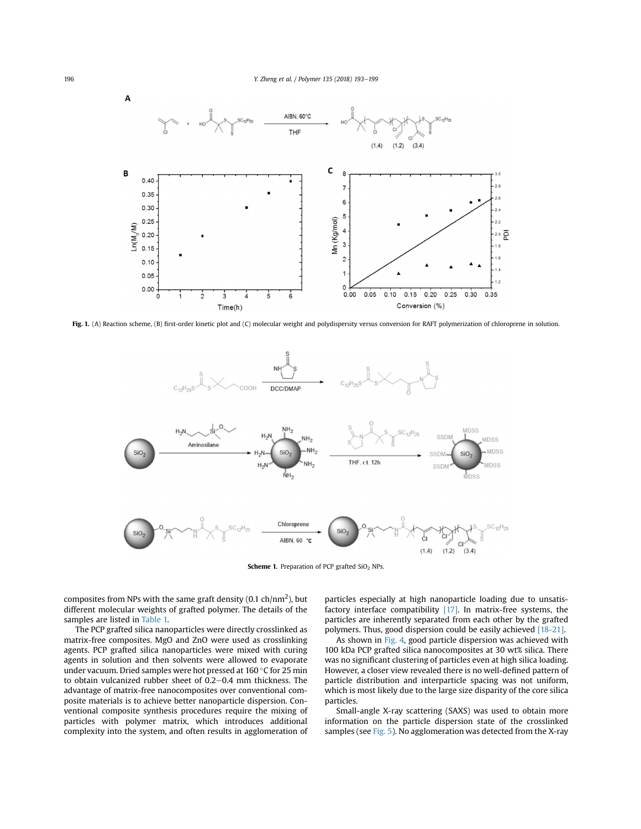

Fig. 1. (A) Reaction scheme, (B) first-order kinetic plot and (C) molecular weight and polydispersity versus conversion for RAFT polymerization of chloroprene in solution.



Scheme 1. Preparation of PCP grafted SiO<sub>2</sub> NPs.

composites from NPs with the same graft density (0.1 ch/nm<sup>2</sup>), but different molecular weights of grafted polymer. The details of the samples are listed in Table 1.

The PCP grafted silica nanoparticles were directly crosslinked as matrix-free composites. MgO and ZnO were used as crosslinking agents. PCP grafted silica nanoparticles were mixed with curing agents in solution and then solvents were allowed to evaporate under vacuum. Dried samples were hot pressed at 160  $\degree$ C for 25 min to obtain vulcanized rubber sheet of  $0.2-0.4$  mm thickness. The advantage of matrix-free nanocomposites over conventional composite materials is to achieve better nanoparticle dispersion. Conventional composite synthesis procedures require the mixing of particles with polymer matrix, which introduces additional complexity into the system, and often results in agglomeration of particles especially at high nanoparticle loading due to unsatisfactory interface compatibility  $[17]$ . In matrix-free systems, the particles are inherently separated from each other by the grafted polymers. Thus, good dispersion could be easily achieved [18-21].

As shown in Fig. 4, good particle dispersion was achieved with 100 kDa PCP grafted silica nanocomposites at 30 wt% silica. There was no significant clustering of particles even at high silica loading. However, a closer view revealed there is no well-defined pattern of particle distribution and interparticle spacing was not uniform, which is most likely due to the large size disparity of the core silica particles.

Small-angle X-ray scattering (SAXS) was used to obtain more information on the particle dispersion state of the crosslinked samples (see Fig. 5). No agglomeration was detected from the X-ray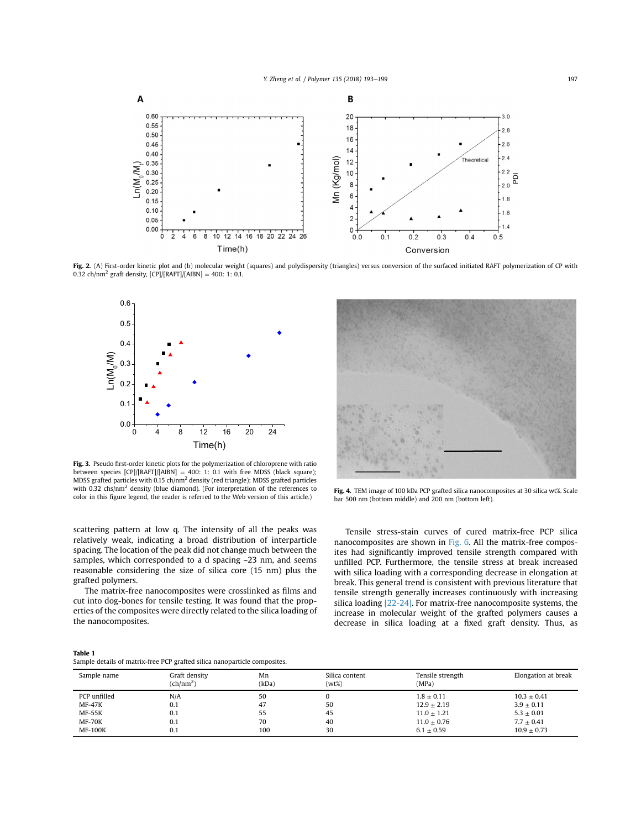

Fig. 2. (A) First-order kinetic plot and (b) molecular weight (squares) and polydispersity (triangles) versus conversion of the surfaced initiated RAFT polymerization of CP with 0.32 ch/nm<sup>2</sup> graft density,  $[CP]/[RAFT]/[AIBN] = 400$ : 1: 0.1.



Fig. 3. Pseudo first-order kinetic plots for the polymerization of chloroprene with ratio between species  $[CP]/[RAFT]/[AIBN] = 400: 1: 0.1$  with free MDSS (black square); MDSS grafted particles with 0.15 ch/nm2 density (red triangle); MDSS grafted particles with 0.32 chs/nm<sup>2</sup> density (blue diamond). (For interpretation of the references to color in this figure legend, the reader is referred to the Web version of this article.)



Fig. 4. TEM image of 100 kDa PCP grafted silica nanocomposites at 30 silica wt%. Scale bar 500 nm (bottom middle) and 200 nm (bottom left).

scattering pattern at low q. The intensity of all the peaks was relatively weak, indicating a broad distribution of interparticle spacing. The location of the peak did not change much between the samples, which corresponded to a d spacing ~23 nm, and seems reasonable considering the size of silica core (15 nm) plus the grafted polymers.

The matrix-free nanocomposites were crosslinked as films and cut into dog-bones for tensile testing. It was found that the properties of the composites were directly related to the silica loading of the nanocomposites.

Tensile stress-stain curves of cured matrix-free PCP silica nanocomposites are shown in Fig. 6. All the matrix-free composites had significantly improved tensile strength compared with unfilled PCP. Furthermore, the tensile stress at break increased with silica loading with a corresponding decrease in elongation at break. This general trend is consistent with previous literature that tensile strength generally increases continuously with increasing silica loading [22-24]. For matrix-free nanocomposite systems, the increase in molecular weight of the grafted polymers causes a decrease in silica loading at a fixed graft density. Thus, as

## Table 1

Sample details of matrix-free PCP grafted silica nanoparticle composites.

| Sample name    | Graft density<br>(ch/nm <sup>2</sup> ) | Mn<br>(kDa) | Silica content<br>$(wt\%)$ | Tensile strength<br>(MPa) | Elongation at break |
|----------------|----------------------------------------|-------------|----------------------------|---------------------------|---------------------|
| PCP unfilled   | N/A                                    | 50          |                            | $1.8 + 0.11$              | $10.3 + 0.41$       |
| $MF-47K$       | 0.1                                    | 47          | 50                         | $12.9 + 2.19$             | $3.9 \pm 0.11$      |
| <b>MF-55K</b>  | 0.1                                    | 55          | 45                         | $11.0 + 1.21$             | $5.3 \pm 0.01$      |
| <b>MF-70K</b>  | 0.1                                    | 70          | 40                         | $11.0 + 0.76$             | $7.7 \pm 0.41$      |
| <b>MF-100K</b> | 0.1                                    | 100         | 30                         | $6.1 \pm 0.59$            | $10.9 + 0.73$       |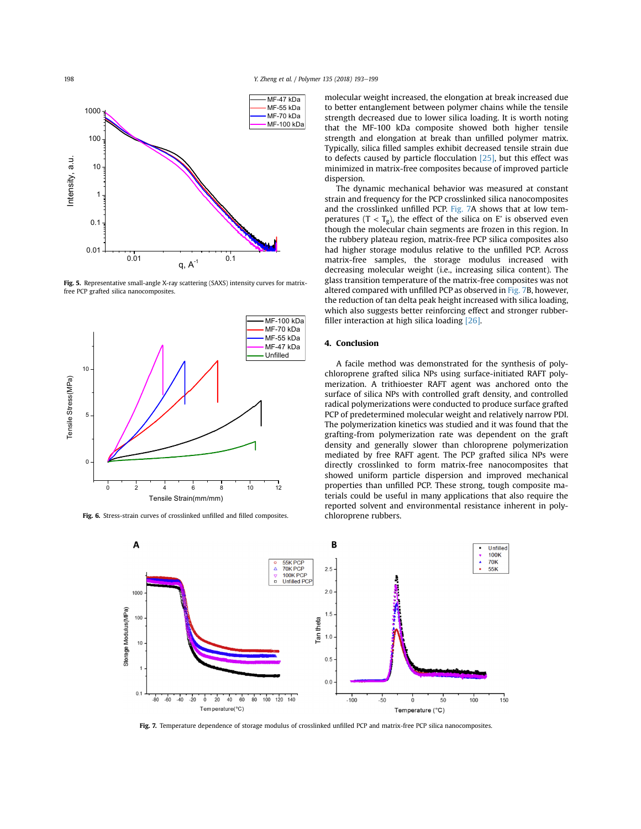198 Y. Zheng et al. / Polymer 135 (2018) 193-199



Fig. 5. Representative small-angle X-ray scattering (SAXS) intensity curves for matrixfree PCP grafted silica nanocomposites.



Fig. 6. Stress-strain curves of crosslinked unfilled and filled composites.

molecular weight increased, the elongation at break increased due to better entanglement between polymer chains while the tensile strength decreased due to lower silica loading. It is worth noting that the MF-100 kDa composite showed both higher tensile strength and elongation at break than unfilled polymer matrix. Typically, silica filled samples exhibit decreased tensile strain due to defects caused by particle flocculation [25], but this effect was minimized in matrix-free composites because of improved particle dispersion.

The dynamic mechanical behavior was measured at constant strain and frequency for the PCP crosslinked silica nanocomposites and the crosslinked unfilled PCP. Fig. 7A shows that at low temperatures ( $T < T_g$ ), the effect of the silica on E' is observed even though the molecular chain segments are frozen in this region. In the rubbery plateau region, matrix-free PCP silica composites also had higher storage modulus relative to the unfilled PCP. Across matrix-free samples, the storage modulus increased with decreasing molecular weight (i.e., increasing silica content). The glass transition temperature of the matrix-free composites was not altered compared with unfilled PCP as observed in Fig. 7B, however, the reduction of tan delta peak height increased with silica loading, which also suggests better reinforcing effect and stronger rubberfiller interaction at high silica loading [26].

# 4. Conclusion

A facile method was demonstrated for the synthesis of polychloroprene grafted silica NPs using surface-initiated RAFT polymerization. A trithioester RAFT agent was anchored onto the surface of silica NPs with controlled graft density, and controlled radical polymerizations were conducted to produce surface grafted PCP of predetermined molecular weight and relatively narrow PDI. The polymerization kinetics was studied and it was found that the grafting-from polymerization rate was dependent on the graft density and generally slower than chloroprene polymerization mediated by free RAFT agent. The PCP grafted silica NPs were directly crosslinked to form matrix-free nanocomposites that showed uniform particle dispersion and improved mechanical properties than unfilled PCP. These strong, tough composite materials could be useful in many applications that also require the reported solvent and environmental resistance inherent in polychloroprene rubbers.



Fig. 7. Temperature dependence of storage modulus of crosslinked unfilled PCP and matrix-free PCP silica nanocomposites.